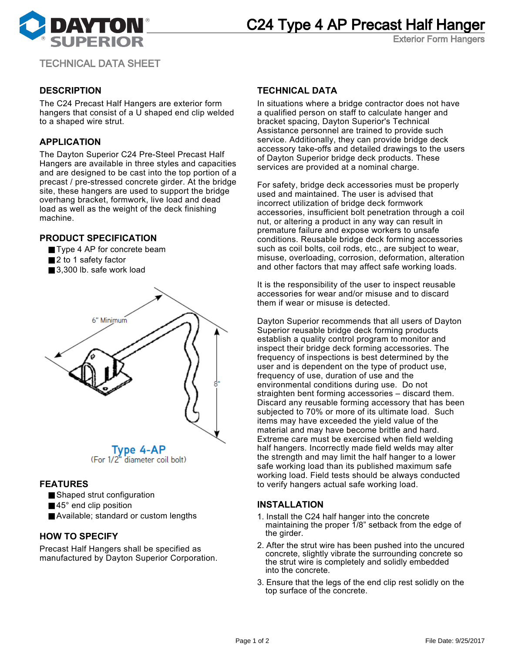



Exterior Form Hangers

TECHNICAL DATA SHEET

# **DESCRIPTION**

The C24 Precast Half Hangers are exterior form hangers that consist of a U shaped end clip welded to a shaped wire strut.

## **APPLICATION**

The Dayton Superior C24 Pre-Steel Precast Half Hangers are available in three styles and capacities and are designed to be cast into the top portion of a precast / pre-stressed concrete girder. At the bridge site, these hangers are used to support the bridge overhang bracket, formwork, live load and dead load as well as the weight of the deck finishing machine.

## **PRODUCT SPECIFICATION**

- Type 4 AP for concrete beam
- 2 to 1 safety factor
- 3,300 lb. safe work load



(For 1/2" diameter coil bolt)

#### **FEATURES**

- Shaped strut configuration
- $\blacksquare$  45 $^{\circ}$  end clip position
- Available; standard or custom lengths

## **HOW TO SPECIFY**

Precast Half Hangers shall be specified as manufactured by Dayton Superior Corporation.

## **TECHNICAL DATA**

In situations where a bridge contractor does not have a qualified person on staff to calculate hanger and bracket spacing, Dayton Superior's Technical Assistance personnel are trained to provide such service. Additionally, they can provide bridge deck accessory take-offs and detailed drawings to the users of Dayton Superior bridge deck products. These services are provided at a nominal charge.

For safety, bridge deck accessories must be properly used and maintained. The user is advised that incorrect utilization of bridge deck formwork accessories, insufficient bolt penetration through a coil nut, or altering a product in any way can result in premature failure and expose workers to unsafe conditions. Reusable bridge deck forming accessories such as coil bolts, coil rods, etc., are subject to wear, misuse, overloading, corrosion, deformation, alteration and other factors that may affect safe working loads.

It is the responsibility of the user to inspect reusable accessories for wear and/or misuse and to discard them if wear or misuse is detected.

Dayton Superior recommends that all users of Dayton Superior reusable bridge deck forming products establish a quality control program to monitor and inspect their bridge deck forming accessories. The frequency of inspections is best determined by the user and is dependent on the type of product use, frequency of use, duration of use and the environmental conditions during use. Do not straighten bent forming accessories – discard them. Discard any reusable forming accessory that has been subjected to 70% or more of its ultimate load. Such items may have exceeded the yield value of the material and may have become brittle and hard. Extreme care must be exercised when field welding half hangers. Incorrectly made field welds may alter the strength and may limit the half hanger to a lower safe working load than its published maximum safe working load. Field tests should be always conducted to verify hangers actual safe working load.

#### **INSTALLATION**

- 1. Install the C24 half hanger into the concrete maintaining the proper  $1/8$ " setback from the edge of the girder.
- 2. After the strut wire has been pushed into the uncured concrete, slightly vibrate the surrounding concrete so the strut wire is completely and solidly embedded into the concrete.
- 3. Ensure that the legs of the end clip rest solidly on the top surface of the concrete.